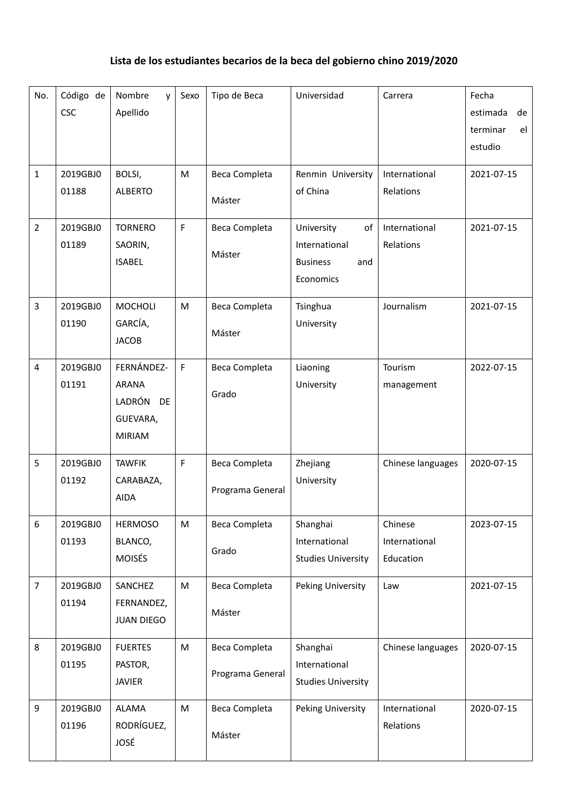## **Lista de los estudiantes becarios de la beca del gobierno chino 2019/2020**

| No.            | Código de<br><b>CSC</b> | Nombre<br>V<br>Apellido                                                 | Sexo         | Tipo de Beca                      | Universidad                                                              | Carrera                               | Fecha<br>estimada<br>de<br>terminar<br>el<br>estudio |
|----------------|-------------------------|-------------------------------------------------------------------------|--------------|-----------------------------------|--------------------------------------------------------------------------|---------------------------------------|------------------------------------------------------|
| $\mathbf{1}$   | 2019GBJ0<br>01188       | BOLSI,<br><b>ALBERTO</b>                                                | M            | Beca Completa<br>Máster           | Renmin University<br>of China                                            | International<br>Relations            | 2021-07-15                                           |
| $\overline{2}$ | 2019GBJ0<br>01189       | <b>TORNERO</b><br>SAORIN,<br><b>ISABEL</b>                              | $\mathsf{F}$ | Beca Completa<br>Máster           | University<br>of<br>International<br><b>Business</b><br>and<br>Economics | International<br>Relations            | 2021-07-15                                           |
| 3              | 2019GBJ0<br>01190       | <b>MOCHOLI</b><br>GARCÍA,<br><b>JACOB</b>                               | M            | Beca Completa<br>Máster           | Tsinghua<br>University                                                   | Journalism                            | 2021-07-15                                           |
| 4              | 2019GBJ0<br>01191       | FERNÁNDEZ-<br><b>ARANA</b><br>LADRÓN<br>DE<br>GUEVARA,<br><b>MIRIAM</b> | $\mathsf F$  | Beca Completa<br>Grado            | Liaoning<br>University                                                   | Tourism<br>management                 | 2022-07-15                                           |
| 5              | 2019GBJ0<br>01192       | <b>TAWFIK</b><br>CARABAZA,<br><b>AIDA</b>                               | $\mathsf F$  | Beca Completa<br>Programa General | Zhejiang<br>University                                                   | Chinese languages                     | 2020-07-15                                           |
| 6              | 2019GBJ0<br>01193       | <b>HERMOSO</b><br>BLANCO,<br><b>MOISÉS</b>                              | M            | Beca Completa<br>Grado            | Shanghai<br>International<br><b>Studies University</b>                   | Chinese<br>International<br>Education | 2023-07-15                                           |
| $\overline{7}$ | 2019GBJ0<br>01194       | SANCHEZ<br>FERNANDEZ,<br><b>JUAN DIEGO</b>                              | M            | Beca Completa<br>Máster           | Peking University                                                        | Law                                   | 2021-07-15                                           |
| 8              | 2019GBJ0<br>01195       | <b>FUERTES</b><br>PASTOR,<br><b>JAVIER</b>                              | M            | Beca Completa<br>Programa General | Shanghai<br>International<br><b>Studies University</b>                   | Chinese languages                     | 2020-07-15                                           |
| 9              | 2019GBJ0<br>01196       | <b>ALAMA</b><br>RODRÍGUEZ,<br><b>JOSÉ</b>                               | M            | Beca Completa<br>Máster           | Peking University                                                        | International<br>Relations            | 2020-07-15                                           |